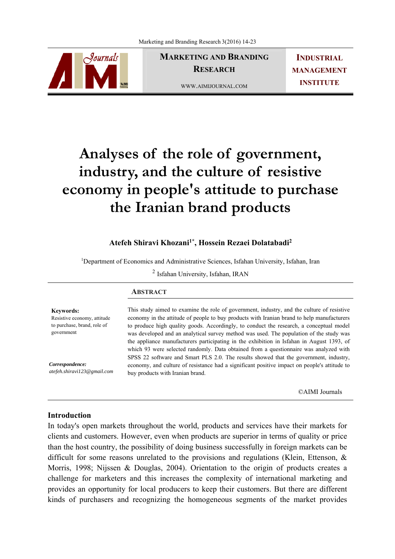

**MARKETING AND BRANDING RESEARCH** 

**INDUSTRIAL MANAGEMENT INSTITUTE**

WWW.AIMIJOURNAL.COM

# **Analyses of the role of government, industry, and the culture of resistive economy in people's attitude to purchase the Iranian brand products**

# **Atefeh Shiravi Khozani1\*, Hossein Rezaei Dolatabadi2**

<sup>1</sup>Department of Economics and Administrative Sciences, Isfahan University, Isfahan, Iran

<sup>2</sup> Isfahan University, Isfahan, IRAN

|                                                 | <b>ABSTRACT</b>                                                                                                                                                                          |  |  |
|-------------------------------------------------|------------------------------------------------------------------------------------------------------------------------------------------------------------------------------------------|--|--|
| <b>Keywords:</b><br>Resistive economy, attitude | This study aimed to examine the role of government, industry, and the culture of resistive<br>economy in the attitude of people to buy products with Iranian brand to help manufacturers |  |  |
| to purchase, brand, role of<br>government       | to produce high quality goods. Accordingly, to conduct the research, a conceptual model<br>was developed and an analytical survey method was used. The population of the study was       |  |  |
|                                                 | the appliance manufacturers participating in the exhibition in Isfahan in August 1393, of                                                                                                |  |  |
|                                                 | which 93 were selected randomly. Data obtained from a questionnaire was analyzed with                                                                                                    |  |  |
|                                                 | SPSS 22 software and Smart PLS 2.0. The results showed that the government, industry,                                                                                                    |  |  |
| Correspondence:                                 | economy, and culture of resistance had a significant positive impact on people's attitude to                                                                                             |  |  |

buy products with Iranian brand.

©AIMI Journals

## **Introduction**

*atefeh.shiravi123@gmail.com*

In today's open markets throughout the world, products and services have their markets for clients and customers. However, even when products are superior in terms of quality or price than the host country, the possibility of doing business successfully in foreign markets can be difficult for some reasons unrelated to the provisions and regulations (Klein, Ettenson, & Morris, 1998; Nijssen & Douglas, 2004). Orientation to the origin of products creates a challenge for marketers and this increases the complexity of international marketing and provides an opportunity for local producers to keep their customers. But there are different kinds of purchasers and recognizing the homogeneous segments of the market provides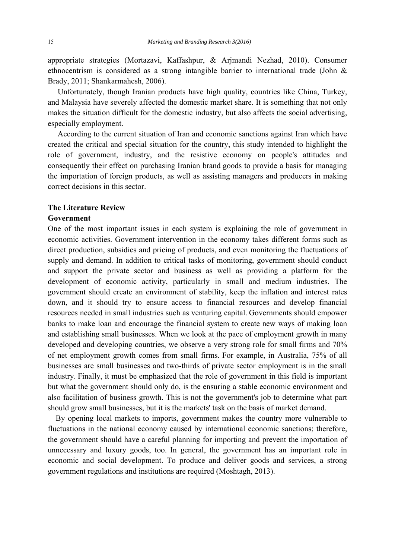appropriate strategies (Mortazavi, Kaffashpur, & Arjmandi Nezhad, 2010). Consumer ethnocentrism is considered as a strong intangible barrier to international trade (John & Brady, 2011; Shankarmahesh, 2006).

 Unfortunately, though Iranian products have high quality, countries like China, Turkey, and Malaysia have severely affected the domestic market share. It is something that not only makes the situation difficult for the domestic industry, but also affects the social advertising, especially employment.

 According to the current situation of Iran and economic sanctions against Iran which have created the critical and special situation for the country, this study intended to highlight the role of government, industry, and the resistive economy on people's attitudes and consequently their effect on purchasing Iranian brand goods to provide a basis for managing the importation of foreign products, as well as assisting managers and producers in making correct decisions in this sector.

## **The Literature Review**

#### **Government**

One of the most important issues in each system is explaining the role of government in economic activities. Government intervention in the economy takes different forms such as direct production, subsidies and pricing of products, and even monitoring the fluctuations of supply and demand. In addition to critical tasks of monitoring, government should conduct and support the private sector and business as well as providing a platform for the development of economic activity, particularly in small and medium industries. The government should create an environment of stability, keep the inflation and interest rates down, and it should try to ensure access to financial resources and develop financial resources needed in small industries such as venturing capital. Governments should empower banks to make loan and encourage the financial system to create new ways of making loan and establishing small businesses. When we look at the pace of employment growth in many developed and developing countries, we observe a very strong role for small firms and 70% of net employment growth comes from small firms. For example, in Australia, 75% of all businesses are small businesses and two-thirds of private sector employment is in the small industry. Finally, it must be emphasized that the role of government in this field is important but what the government should only do, is the ensuring a stable economic environment and also facilitation of business growth. This is not the government's job to determine what part should grow small businesses, but it is the markets' task on the basis of market demand.

 By opening local markets to imports, government makes the country more vulnerable to fluctuations in the national economy caused by international economic sanctions; therefore, the government should have a careful planning for importing and prevent the importation of unnecessary and luxury goods, too. In general, the government has an important role in economic and social development. To produce and deliver goods and services, a strong government regulations and institutions are required (Moshtagh, 2013).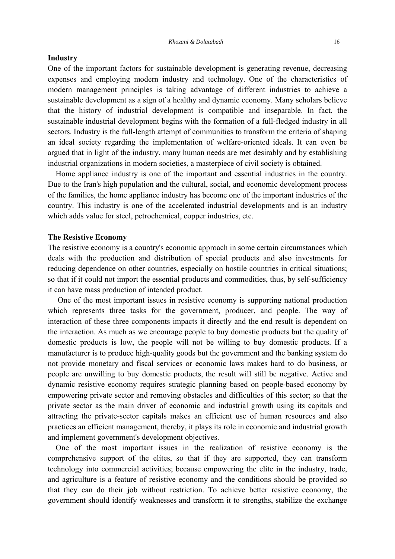#### **Industry**

One of the important factors for sustainable development is generating revenue, decreasing expenses and employing modern industry and technology. One of the characteristics of modern management principles is taking advantage of different industries to achieve a sustainable development as a sign of a healthy and dynamic economy. Many scholars believe that the history of industrial development is compatible and inseparable. In fact, the sustainable industrial development begins with the formation of a full-fledged industry in all sectors. Industry is the full-length attempt of communities to transform the criteria of shaping an ideal society regarding the implementation of welfare-oriented ideals. It can even be argued that in light of the industry, many human needs are met desirably and by establishing industrial organizations in modern societies, a masterpiece of civil society is obtained.

 Home appliance industry is one of the important and essential industries in the country. Due to the Iran's high population and the cultural, social, and economic development process of the families, the home appliance industry has become one of the important industries of the country. This industry is one of the accelerated industrial developments and is an industry which adds value for steel, petrochemical, copper industries, etc.

#### **The Resistive Economy**

The resistive economy is a country's economic approach in some certain circumstances which deals with the production and distribution of special products and also investments for reducing dependence on other countries, especially on hostile countries in critical situations; so that if it could not import the essential products and commodities, thus, by self-sufficiency it can have mass production of intended product.

 One of the most important issues in resistive economy is supporting national production which represents three tasks for the government, producer, and people. The way of interaction of these three components impacts it directly and the end result is dependent on the interaction. As much as we encourage people to buy domestic products but the quality of domestic products is low, the people will not be willing to buy domestic products. If a manufacturer is to produce high-quality goods but the government and the banking system do not provide monetary and fiscal services or economic laws makes hard to do business, or people are unwilling to buy domestic products, the result will still be negative. Active and dynamic resistive economy requires strategic planning based on people-based economy by empowering private sector and removing obstacles and difficulties of this sector; so that the private sector as the main driver of economic and industrial growth using its capitals and attracting the private-sector capitals makes an efficient use of human resources and also practices an efficient management, thereby, it plays its role in economic and industrial growth and implement government's development objectives.

 One of the most important issues in the realization of resistive economy is the comprehensive support of the elites, so that if they are supported, they can transform technology into commercial activities; because empowering the elite in the industry, trade, and agriculture is a feature of resistive economy and the conditions should be provided so that they can do their job without restriction. To achieve better resistive economy, the government should identify weaknesses and transform it to strengths, stabilize the exchange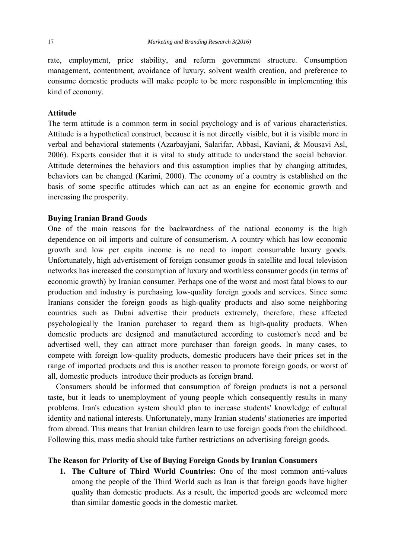rate, employment, price stability, and reform government structure. Consumption management, contentment, avoidance of luxury, solvent wealth creation, and preference to consume domestic products will make people to be more responsible in implementing this kind of economy.

## **Attitude**

The term attitude is a common term in social psychology and is of various characteristics. Attitude is a hypothetical construct, because it is not directly visible, but it is visible more in verbal and behavioral statements (Azarbayjani, Salarifar, Abbasi, Kaviani, & Mousavi Asl, 2006). Experts consider that it is vital to study attitude to understand the social behavior. Attitude determines the behaviors and this assumption implies that by changing attitudes, behaviors can be changed (Karimi, 2000). The economy of a country is established on the basis of some specific attitudes which can act as an engine for economic growth and increasing the prosperity.

#### **Buying Iranian Brand Goods**

One of the main reasons for the backwardness of the national economy is the high dependence on oil imports and culture of consumerism. A country which has low economic growth and low per capita income is no need to import consumable luxury goods. Unfortunately, high advertisement of foreign consumer goods in satellite and local television networks has increased the consumption of luxury and worthless consumer goods (in terms of economic growth) by Iranian consumer. Perhaps one of the worst and most fatal blows to our production and industry is purchasing low-quality foreign goods and services. Since some Iranians consider the foreign goods as high-quality products and also some neighboring countries such as Dubai advertise their products extremely, therefore, these affected psychologically the Iranian purchaser to regard them as high-quality products. When domestic products are designed and manufactured according to customer's need and be advertised well, they can attract more purchaser than foreign goods. In many cases, to compete with foreign low-quality products, domestic producers have their prices set in the range of imported products and this is another reason to promote foreign goods, or worst of all, domestic products introduce their products as foreign brand.

 Consumers should be informed that consumption of foreign products is not a personal taste, but it leads to unemployment of young people which consequently results in many problems. Iran's education system should plan to increase students' knowledge of cultural identity and national interests. Unfortunately, many Iranian students' stationeries are imported from abroad. This means that Iranian children learn to use foreign goods from the childhood. Following this, mass media should take further restrictions on advertising foreign goods.

#### **The Reason for Priority of Use of Buying Foreign Goods by Iranian Consumers**

**1. The Culture of Third World Countries:** One of the most common anti-values among the people of the Third World such as Iran is that foreign goods have higher quality than domestic products. As a result, the imported goods are welcomed more than similar domestic goods in the domestic market.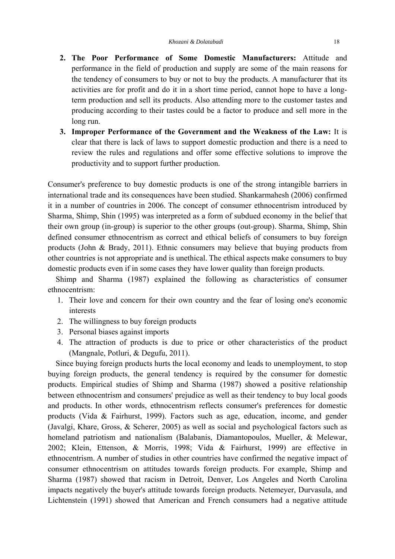- **2. The Poor Performance of Some Domestic Manufacturers:** Attitude and performance in the field of production and supply are some of the main reasons for the tendency of consumers to buy or not to buy the products. A manufacturer that its activities are for profit and do it in a short time period, cannot hope to have a longterm production and sell its products. Also attending more to the customer tastes and producing according to their tastes could be a factor to produce and sell more in the long run.
- **3. Improper Performance of the Government and the Weakness of the Law:** It is clear that there is lack of laws to support domestic production and there is a need to review the rules and regulations and offer some effective solutions to improve the productivity and to support further production.

Consumer's preference to buy domestic products is one of the strong intangible barriers in international trade and its consequences have been studied. Shankarmahesh (2006) confirmed it in a number of countries in 2006. The concept of consumer ethnocentrism introduced by Sharma, Shimp, Shin (1995) was interpreted as a form of subdued economy in the belief that their own group (in-group) is superior to the other groups (out-group). Sharma, Shimp, Shin defined consumer ethnocentrism as correct and ethical beliefs of consumers to buy foreign products (John & Brady, 2011). Ethnic consumers may believe that buying products from other countries is not appropriate and is unethical. The ethical aspects make consumers to buy domestic products even if in some cases they have lower quality than foreign products.

 Shimp and Sharma (1987) explained the following as characteristics of consumer ethnocentrism:

- 1. Their love and concern for their own country and the fear of losing one's economic interests
- 2. The willingness to buy foreign products
- 3. Personal biases against imports
- 4. The attraction of products is due to price or other characteristics of the product (Mangnale, Potluri, & Degufu, 2011).

 Since buying foreign products hurts the local economy and leads to unemployment, to stop buying foreign products, the general tendency is required by the consumer for domestic products. Empirical studies of Shimp and Sharma (1987) showed a positive relationship between ethnocentrism and consumers' prejudice as well as their tendency to buy local goods and products. In other words, ethnocentrism reflects consumer's preferences for domestic products (Vida & Fairhurst, 1999). Factors such as age, education, income, and gender (Javalgi, Khare, Gross, & Scherer, 2005) as well as social and psychological factors such as homeland patriotism and nationalism (Balabanis, Diamantopoulos, Mueller, & Melewar, 2002; Klein, Ettenson, & Morris, 1998; Vida & Fairhurst, 1999) are effective in ethnocentrism. A number of studies in other countries have confirmed the negative impact of consumer ethnocentrism on attitudes towards foreign products. For example, Shimp and Sharma (1987) showed that racism in Detroit, Denver, Los Angeles and North Carolina impacts negatively the buyer's attitude towards foreign products. Netemeyer, Durvasula, and Lichtenstein (1991) showed that American and French consumers had a negative attitude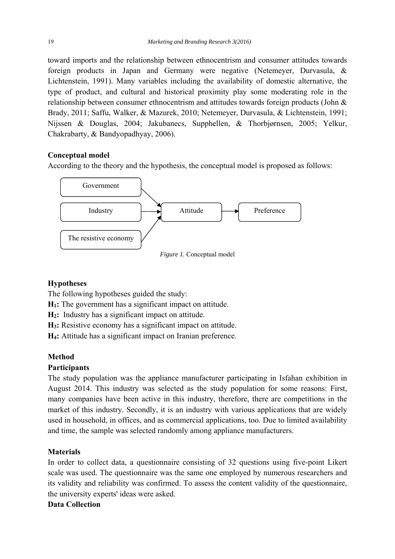toward imports and the relationship between ethnocentrism and consumer attitudes towards foreign products in Japan and Germany were negative (Netemeyer, Durvasula, & Lichtenstein, 1991). Many variables including the availability of domestic alternative, the type of product, and cultural and historical proximity play some moderating role in the relationship between consumer ethnocentrism and attitudes towards foreign products (John & Brady, 2011; Saffu, Walker, & Mazurek, 2010; Netemeyer, Durvasula, & Lichtenstein, 1991; Nijssen & Douglas, 2004; Jakubanecs, Supphellen, & Thorbjørnsen, 2005; Yelkur, Chakrabarty, & Bandyopadhyay, 2006).

## **Conceptual model**

According to the theory and the hypothesis, the conceptual model is proposed as follows:



*Figure 1.* Conceptual model

# **Hypotheses**

The following hypotheses guided the study:

**H1:** The government has a significant impact on attitude.

**H2:** Industry has a significant impact on attitude.

**H3:** Resistive economy has a significant impact on attitude.

**H4:** Attitude has a significant impact on Iranian preference.

# **Method**

# **Participants**

The study population was the appliance manufacturer participating in Isfahan exhibition in August 2014. This industry was selected as the study population for some reasons: First, many companies have been active in this industry, therefore, there are competitions in the market of this industry. Secondly, it is an industry with various applications that are widely used in household, in offices, and as commercial applications, too. Due to limited availability and time, the sample was selected randomly among appliance manufacturers.

# **Materials**

In order to collect data, a questionnaire consisting of 32 questions using five-point Likert scale was used. The questionnaire was the same one employed by numerous researchers and its validity and reliability was confirmed. To assess the content validity of the questionnaire, the university experts' ideas were asked.

# **Data Collection**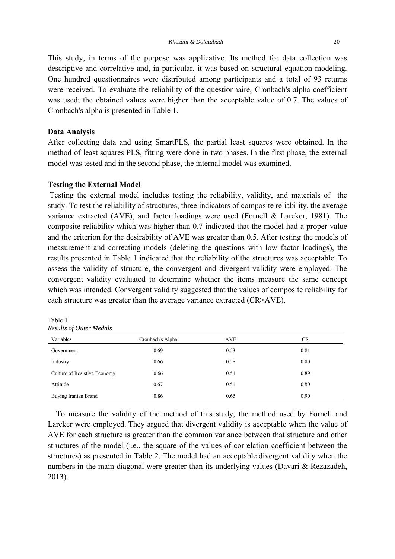This study, in terms of the purpose was applicative. Its method for data collection was descriptive and correlative and, in particular, it was based on structural equation modeling. One hundred questionnaires were distributed among participants and a total of 93 returns were received. To evaluate the reliability of the questionnaire, Cronbach's alpha coefficient was used; the obtained values were higher than the acceptable value of 0.7. The values of Cronbach's alpha is presented in Table 1.

## **Data Analysis**

After collecting data and using SmartPLS, the partial least squares were obtained. In the method of least squares PLS, fitting were done in two phases. In the first phase, the external model was tested and in the second phase, the internal model was examined.

## **Testing the External Model**

 Testing the external model includes testing the reliability, validity, and materials of the study. To test the reliability of structures, three indicators of composite reliability, the average variance extracted (AVE), and factor loadings were used (Fornell & Larcker, 1981). The composite reliability which was higher than 0.7 indicated that the model had a proper value and the criterion for the desirability of AVE was greater than 0.5. After testing the models of measurement and correcting models (deleting the questions with low factor loadings), the results presented in Table 1 indicated that the reliability of the structures was acceptable. To assess the validity of structure, the convergent and divergent validity were employed. The convergent validity evaluated to determine whether the items measure the same concept which was intended. Convergent validity suggested that the values of composite reliability for each structure was greater than the average variance extracted (CR>AVE).

| <b>Results of Outer Medals</b> |                  |            |           |  |  |  |
|--------------------------------|------------------|------------|-----------|--|--|--|
| Variables                      | Cronbach's Alpha | <b>AVE</b> | <b>CR</b> |  |  |  |
| Government                     | 0.69             | 0.53       | 0.81      |  |  |  |
| Industry                       | 0.66             | 0.58       | 0.80      |  |  |  |
| Culture of Resistive Economy   | 0.66             | 0.51       | 0.89      |  |  |  |
| Attitude                       | 0.67             | 0.51       | 0.80      |  |  |  |
| Buying Iranian Brand           | 0.86             | 0.65       | 0.90      |  |  |  |

Table 1

 To measure the validity of the method of this study, the method used by Fornell and Larcker were employed. They argued that divergent validity is acceptable when the value of AVE for each structure is greater than the common variance between that structure and other structures of the model (i.e., the square of the values of correlation coefficient between the structures) as presented in Table 2. The model had an acceptable divergent validity when the numbers in the main diagonal were greater than its underlying values (Davari & Rezazadeh, 2013).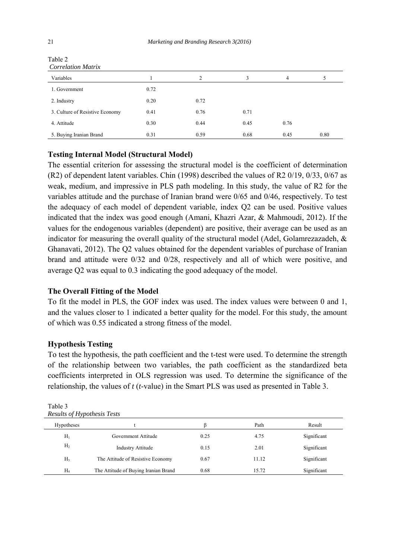| Corretation matrix              |      |                |      |      |      |
|---------------------------------|------|----------------|------|------|------|
| Variables                       |      | $\overline{2}$ | 3    | 4    |      |
| 1. Government                   | 0.72 |                |      |      |      |
| 2. Industry                     | 0.20 | 0.72           |      |      |      |
| 3. Culture of Resistive Economy | 0.41 | 0.76           | 0.71 |      |      |
| 4. Attitude                     | 0.30 | 0.44           | 0.45 | 0.76 |      |
| 5. Buying Iranian Brand         | 0.31 | 0.59           | 0.68 | 0.45 | 0.80 |

Table 2 *Correlation Matrix* 

## **Testing Internal Model (Structural Model)**

The essential criterion for assessing the structural model is the coefficient of determination (R2) of dependent latent variables. Chin (1998) described the values of R2 0/19, 0/33, 0/67 as weak, medium, and impressive in PLS path modeling. In this study, the value of R2 for the variables attitude and the purchase of Iranian brand were 0/65 and 0/46, respectively. To test the adequacy of each model of dependent variable, index Q2 can be used. Positive values indicated that the index was good enough (Amani, Khazri Azar, & Mahmoudi, 2012). If the values for the endogenous variables (dependent) are positive, their average can be used as an indicator for measuring the overall quality of the structural model (Adel, Golamrezazadeh, & Ghanavati, 2012). The Q2 values obtained for the dependent variables of purchase of Iranian brand and attitude were 0/32 and 0/28, respectively and all of which were positive, and average Q2 was equal to 0.3 indicating the good adequacy of the model.

## **The Overall Fitting of the Model**

To fit the model in PLS, the GOF index was used. The index values were between 0 and 1, and the values closer to 1 indicated a better quality for the model. For this study, the amount of which was 0.55 indicated a strong fitness of the model.

## **Hypothesis Testing**

To test the hypothesis, the path coefficient and the t-test were used. To determine the strength of the relationship between two variables, the path coefficient as the standardized beta coefficients interpreted in OLS regression was used. To determine the significance of the relationship, the values of *t* (*t*-value) in the Smart PLS was used as presented in Table 3.

| <i>Results of Hypothesis Tests</i> |                                      |      |       |             |  |  |
|------------------------------------|--------------------------------------|------|-------|-------------|--|--|
| Hypotheses                         |                                      |      | Path  | Result      |  |  |
| $H_1$                              | Government Attitude                  | 0.25 | 4.75  | Significant |  |  |
| H <sub>2</sub>                     | <b>Industry Attitude</b>             | 0.15 | 2.01  | Significant |  |  |
| H <sub>3</sub>                     | The Attitude of Resistive Economy    | 0.67 | 11.12 | Significant |  |  |
| $H_4$                              | The Attitude of Buying Iranian Brand | 0.68 | 15.72 | Significant |  |  |

Table 3 *Results of Hypothesis Tests*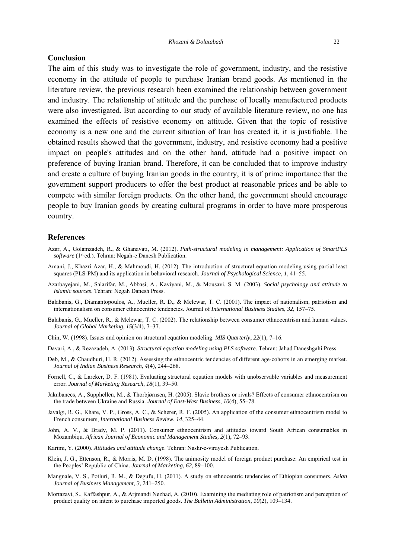#### **Conclusion**

The aim of this study was to investigate the role of government, industry, and the resistive economy in the attitude of people to purchase Iranian brand goods. As mentioned in the literature review, the previous research been examined the relationship between government and industry. The relationship of attitude and the purchase of locally manufactured products were also investigated. But according to our study of available literature review, no one has examined the effects of resistive economy on attitude. Given that the topic of resistive economy is a new one and the current situation of Iran has created it, it is justifiable. The obtained results showed that the government, industry, and resistive economy had a positive impact on people's attitudes and on the other hand, attitude had a positive impact on preference of buying Iranian brand. Therefore, it can be concluded that to improve industry and create a culture of buying Iranian goods in the country, it is of prime importance that the government support producers to offer the best product at reasonable prices and be able to compete with similar foreign products. On the other hand, the government should encourage people to buy Iranian goods by creating cultural programs in order to have more prosperous country.

#### **References**

- Azar, A., Golamzadeh, R., & Ghanavati, M. (2012). *Path-structural modeling in management: Application of SmartPLS software* (1st ed.). Tehran: Negah-e Danesh Publication.
- Amani, J., Khazri Azar, H., & Mahmoudi, H. (2012). The introduction of structural equation modeling using partial least squares (PLS-PM) and its application in behavioral research. *Journal of Psychological Science*, *1*, 41–55.
- Azarbayejani, M., Salarifar, M., Abbasi, A., Kaviyani, M., & Mousavi, S. M. (2003). *Social psychology and attitude to Islamic sources*. Tehran: Negah Danesh Press.
- Balabanis, G., Diamantopoulos, A., Mueller, R. D., & Melewar, T. C. (2001). The impact of nationalism, patriotism and internationalism on consumer ethnocentric tendencies. Journal of *International Business Studies*, *32*, 157–75.
- Balabanis, G., Mueller, R., & Melewar, T. C. (2002). The relationship between consumer ethnocentrism and human values. *Journal of Global Marketing*, *15*(3/4), 7–37.
- Chin, W. (1998). Issues and opinion on structural equation modeling. *MIS Quarterly*, *22*(1), 7–16.
- Davari, A., & Rezazadeh, A. (2013). *Structural equation modeling using PLS software*. Tehran: Jahad Daneshgahi Press.
- Deb, M., & Chaudhuri, H. R. (2012). Assessing the ethnocentric tendencies of different age-cohorts in an emerging market. *Journal of Indian Business Research*, *4*(4), 244–268.
- Fornell, C., & Larcker, D. F. (1981). Evaluating structural equation models with unobservable variables and measurement error. *Journal of Marketing Research*, *18*(1), 39–50.
- Jakubanecs, A., Supphellen, M., & Thorbjørnsen, H. (2005). Slavic brothers or rivals? Effects of consumer ethnocentrism on the trade between Ukraine and Russia. *Journal of East-West Business*, *10*(4), 55–78.
- Javalgi, R. G., Khare, V. P., Gross, A. C., & Scherer, R. F. (2005). An application of the consumer ethnocentrism model to French consumers, *International Business Review*, *14*, 325–44.
- John, A. V., & Brady, M. P. (2011). Consumer ethnocentrism and attitudes toward South African consumables in Mozambiqu. *African Journal of Economic and Management Studies, 2*(1), 72–93.
- Karimi, Y. (2000). *Attitudes and attitude change*. Tehran: Nashr-e-virayesh Publication.
- Klein, J. G., Ettenson, R., & Morris, M. D. (1998). The animosity model of foreign product purchase: An empirical test in the Peoples' Republic of China. *Journal of Marketing*, *62*, 89–100.
- Mangnale, V. S., Potluri, R. M., & Degufu, H. (2011). A study on ethnocentric tendencies of Ethiopian consumers. *Asian Journal of Business Management*, *3*, 241–250.
- Mortazavi, S., Kaffashpur, A., & Arjmandi Nezhad, A. (2010). Examining the mediating role of patriotism and perception of product quality on intent to purchase imported goods. *The Bulletin Administration*, *10*(2), 109–134.